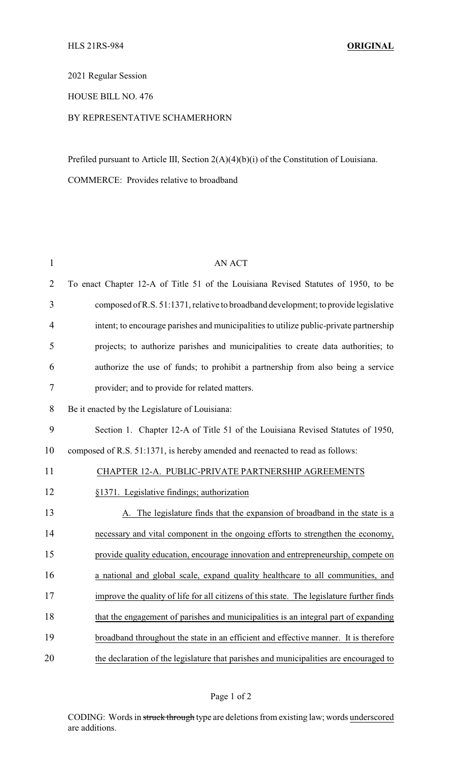## 2021 Regular Session

## HOUSE BILL NO. 476

## BY REPRESENTATIVE SCHAMERHORN

Prefiled pursuant to Article III, Section 2(A)(4)(b)(i) of the Constitution of Louisiana.

COMMERCE: Provides relative to broadband

| <b>AN ACT</b>                                                                             |
|-------------------------------------------------------------------------------------------|
| To enact Chapter 12-A of Title 51 of the Louisiana Revised Statutes of 1950, to be        |
| composed of R.S. 51:1371, relative to broadband development; to provide legislative       |
| intent; to encourage parishes and municipalities to utilize public-private partnership    |
| projects; to authorize parishes and municipalities to create data authorities; to         |
| authorize the use of funds; to prohibit a partnership from also being a service           |
| provider; and to provide for related matters.                                             |
| Be it enacted by the Legislature of Louisiana:                                            |
| Section 1. Chapter 12-A of Title 51 of the Louisiana Revised Statutes of 1950,            |
| composed of R.S. 51:1371, is hereby amended and reenacted to read as follows:             |
| CHAPTER 12-A. PUBLIC-PRIVATE PARTNERSHIP AGREEMENTS                                       |
| §1371. Legislative findings; authorization                                                |
| A. The legislature finds that the expansion of broadband in the state is a                |
| necessary and vital component in the ongoing efforts to strengthen the economy,           |
| provide quality education, encourage innovation and entrepreneurship, compete on          |
| a national and global scale, expand quality healthcare to all communities, and            |
| improve the quality of life for all citizens of this state. The legislature further finds |
| that the engagement of parishes and municipalities is an integral part of expanding       |
| broadband throughout the state in an efficient and effective manner. It is therefore      |
| the declaration of the legislature that parishes and municipalities are encouraged to     |
|                                                                                           |

CODING: Words in struck through type are deletions from existing law; words underscored are additions.